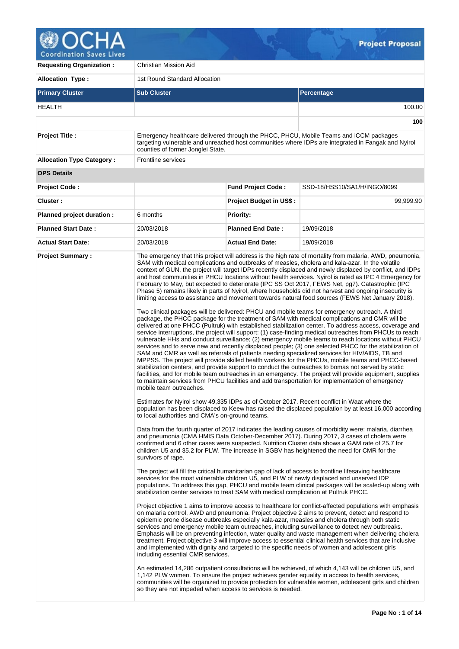

| <b>Requesting Organization:</b>  | <b>Christian Mission Aid</b>                                                                                                                                                             |                                |                                                                                                                                                                                                                                                                                                                                                                                                                                                                                                                                                                                                                                                                                                                                                                                                                                                                                                                                                                                                                                                                                                                                                                                                                                                                                                                                                                                                                                                                                                                                                                                                                                                                                                                                                                                                                                                                                                                                                                                                                                                                                                                                                                                                                                                                                                                                                                                                                                                                                                                                                                                                                                                                                                                                                                                                                                                                 |  |  |  |  |  |  |
|----------------------------------|------------------------------------------------------------------------------------------------------------------------------------------------------------------------------------------|--------------------------------|-----------------------------------------------------------------------------------------------------------------------------------------------------------------------------------------------------------------------------------------------------------------------------------------------------------------------------------------------------------------------------------------------------------------------------------------------------------------------------------------------------------------------------------------------------------------------------------------------------------------------------------------------------------------------------------------------------------------------------------------------------------------------------------------------------------------------------------------------------------------------------------------------------------------------------------------------------------------------------------------------------------------------------------------------------------------------------------------------------------------------------------------------------------------------------------------------------------------------------------------------------------------------------------------------------------------------------------------------------------------------------------------------------------------------------------------------------------------------------------------------------------------------------------------------------------------------------------------------------------------------------------------------------------------------------------------------------------------------------------------------------------------------------------------------------------------------------------------------------------------------------------------------------------------------------------------------------------------------------------------------------------------------------------------------------------------------------------------------------------------------------------------------------------------------------------------------------------------------------------------------------------------------------------------------------------------------------------------------------------------------------------------------------------------------------------------------------------------------------------------------------------------------------------------------------------------------------------------------------------------------------------------------------------------------------------------------------------------------------------------------------------------------------------------------------------------------------------------------------------------|--|--|--|--|--|--|
| <b>Allocation Type:</b>          | 1st Round Standard Allocation                                                                                                                                                            |                                |                                                                                                                                                                                                                                                                                                                                                                                                                                                                                                                                                                                                                                                                                                                                                                                                                                                                                                                                                                                                                                                                                                                                                                                                                                                                                                                                                                                                                                                                                                                                                                                                                                                                                                                                                                                                                                                                                                                                                                                                                                                                                                                                                                                                                                                                                                                                                                                                                                                                                                                                                                                                                                                                                                                                                                                                                                                                 |  |  |  |  |  |  |
| <b>Primary Cluster</b>           | <b>Sub Cluster</b>                                                                                                                                                                       |                                | Percentage                                                                                                                                                                                                                                                                                                                                                                                                                                                                                                                                                                                                                                                                                                                                                                                                                                                                                                                                                                                                                                                                                                                                                                                                                                                                                                                                                                                                                                                                                                                                                                                                                                                                                                                                                                                                                                                                                                                                                                                                                                                                                                                                                                                                                                                                                                                                                                                                                                                                                                                                                                                                                                                                                                                                                                                                                                                      |  |  |  |  |  |  |
| HEALTH                           |                                                                                                                                                                                          |                                | 100.00                                                                                                                                                                                                                                                                                                                                                                                                                                                                                                                                                                                                                                                                                                                                                                                                                                                                                                                                                                                                                                                                                                                                                                                                                                                                                                                                                                                                                                                                                                                                                                                                                                                                                                                                                                                                                                                                                                                                                                                                                                                                                                                                                                                                                                                                                                                                                                                                                                                                                                                                                                                                                                                                                                                                                                                                                                                          |  |  |  |  |  |  |
|                                  |                                                                                                                                                                                          |                                | 100                                                                                                                                                                                                                                                                                                                                                                                                                                                                                                                                                                                                                                                                                                                                                                                                                                                                                                                                                                                                                                                                                                                                                                                                                                                                                                                                                                                                                                                                                                                                                                                                                                                                                                                                                                                                                                                                                                                                                                                                                                                                                                                                                                                                                                                                                                                                                                                                                                                                                                                                                                                                                                                                                                                                                                                                                                                             |  |  |  |  |  |  |
| <b>Project Title:</b>            | counties of former Jonglei State.                                                                                                                                                        |                                | Emergency healthcare delivered through the PHCC, PHCU, Mobile Teams and iCCM packages<br>targeting vulnerable and unreached host communities where IDPs are integrated in Fangak and Nyirol                                                                                                                                                                                                                                                                                                                                                                                                                                                                                                                                                                                                                                                                                                                                                                                                                                                                                                                                                                                                                                                                                                                                                                                                                                                                                                                                                                                                                                                                                                                                                                                                                                                                                                                                                                                                                                                                                                                                                                                                                                                                                                                                                                                                                                                                                                                                                                                                                                                                                                                                                                                                                                                                     |  |  |  |  |  |  |
| <b>Allocation Type Category:</b> | Frontline services                                                                                                                                                                       |                                |                                                                                                                                                                                                                                                                                                                                                                                                                                                                                                                                                                                                                                                                                                                                                                                                                                                                                                                                                                                                                                                                                                                                                                                                                                                                                                                                                                                                                                                                                                                                                                                                                                                                                                                                                                                                                                                                                                                                                                                                                                                                                                                                                                                                                                                                                                                                                                                                                                                                                                                                                                                                                                                                                                                                                                                                                                                                 |  |  |  |  |  |  |
| <b>OPS Details</b>               |                                                                                                                                                                                          |                                |                                                                                                                                                                                                                                                                                                                                                                                                                                                                                                                                                                                                                                                                                                                                                                                                                                                                                                                                                                                                                                                                                                                                                                                                                                                                                                                                                                                                                                                                                                                                                                                                                                                                                                                                                                                                                                                                                                                                                                                                                                                                                                                                                                                                                                                                                                                                                                                                                                                                                                                                                                                                                                                                                                                                                                                                                                                                 |  |  |  |  |  |  |
| <b>Project Code:</b>             |                                                                                                                                                                                          | <b>Fund Project Code:</b>      | SSD-18/HSS10/SA1/H/INGO/8099                                                                                                                                                                                                                                                                                                                                                                                                                                                                                                                                                                                                                                                                                                                                                                                                                                                                                                                                                                                                                                                                                                                                                                                                                                                                                                                                                                                                                                                                                                                                                                                                                                                                                                                                                                                                                                                                                                                                                                                                                                                                                                                                                                                                                                                                                                                                                                                                                                                                                                                                                                                                                                                                                                                                                                                                                                    |  |  |  |  |  |  |
| <b>Cluster:</b>                  |                                                                                                                                                                                          | <b>Project Budget in US\$:</b> | 99,999.90                                                                                                                                                                                                                                                                                                                                                                                                                                                                                                                                                                                                                                                                                                                                                                                                                                                                                                                                                                                                                                                                                                                                                                                                                                                                                                                                                                                                                                                                                                                                                                                                                                                                                                                                                                                                                                                                                                                                                                                                                                                                                                                                                                                                                                                                                                                                                                                                                                                                                                                                                                                                                                                                                                                                                                                                                                                       |  |  |  |  |  |  |
| Planned project duration :       | 6 months                                                                                                                                                                                 | <b>Priority:</b>               |                                                                                                                                                                                                                                                                                                                                                                                                                                                                                                                                                                                                                                                                                                                                                                                                                                                                                                                                                                                                                                                                                                                                                                                                                                                                                                                                                                                                                                                                                                                                                                                                                                                                                                                                                                                                                                                                                                                                                                                                                                                                                                                                                                                                                                                                                                                                                                                                                                                                                                                                                                                                                                                                                                                                                                                                                                                                 |  |  |  |  |  |  |
| <b>Planned Start Date:</b>       | 20/03/2018                                                                                                                                                                               | <b>Planned End Date:</b>       | 19/09/2018                                                                                                                                                                                                                                                                                                                                                                                                                                                                                                                                                                                                                                                                                                                                                                                                                                                                                                                                                                                                                                                                                                                                                                                                                                                                                                                                                                                                                                                                                                                                                                                                                                                                                                                                                                                                                                                                                                                                                                                                                                                                                                                                                                                                                                                                                                                                                                                                                                                                                                                                                                                                                                                                                                                                                                                                                                                      |  |  |  |  |  |  |
| <b>Actual Start Date:</b>        | 20/03/2018                                                                                                                                                                               | <b>Actual End Date:</b>        | 19/09/2018                                                                                                                                                                                                                                                                                                                                                                                                                                                                                                                                                                                                                                                                                                                                                                                                                                                                                                                                                                                                                                                                                                                                                                                                                                                                                                                                                                                                                                                                                                                                                                                                                                                                                                                                                                                                                                                                                                                                                                                                                                                                                                                                                                                                                                                                                                                                                                                                                                                                                                                                                                                                                                                                                                                                                                                                                                                      |  |  |  |  |  |  |
| <b>Project Summary:</b>          | mobile team outreaches.<br>to local authorities and CMA's on-ground teams.<br>survivors of rape.                                                                                         |                                | The emergency that this project will address is the high rate of mortality from malaria, AWD, pneumonia,<br>SAM with medical complications and outbreaks of measles, cholera and kala-azar. In the volatile<br>context of GUN, the project will target IDPs recently displaced and newly displaced by conflict, and IDPs<br>and host communities in PHCU locations without health services. Nyirol is rated as IPC 4 Emergency for<br>February to May, but expected to deteriorate (IPC SS Oct 2017, FEWS Net, pg7). Catastrophic (IPC<br>Phase 5) remains likely in parts of Nyirol, where households did not harvest and ongoing insecurity is<br>limiting access to assistance and movement towards natural food sources (FEWS Net January 2018).<br>Two clinical packages will be delivered: PHCU and mobile teams for emergency outreach. A third<br>package, the PHCC package for the treatment of SAM with medical complications and CMR will be<br>delivered at one PHCC (Pultruk) with established stabilization center. To address access, coverage and<br>service interruptions, the project will support: (1) case-finding medical outreaches from PHCUs to reach<br>vulnerable HHs and conduct surveillance; (2) emergency mobile teams to reach locations without PHCU<br>services and to serve new and recently displaced people; (3) one selected PHCC for the stabilization of<br>SAM and CMR as well as referrals of patients needing specialized services for HIV/AIDS, TB and<br>MPPSS. The project will provide skilled health workers for the PHCUs, mobile teams and PHCC-based<br>stabilization centers, and provide support to conduct the outreaches to bomas not served by static<br>facilities, and for mobile team outreaches in an emergency. The project will provide equipment, supplies<br>to maintain services from PHCU facilities and add transportation for implementation of emergency<br>Estimates for Nyirol show 49,335 IDPs as of October 2017. Recent conflict in Waat where the<br>population has been displaced to Keew has raised the displaced population by at least 16,000 according<br>Data from the fourth quarter of 2017 indicates the leading causes of morbidity were: malaria, diarrhea<br>and pneumonia (CMA HMIS Data October-December 2017). During 2017, 3 cases of cholera were<br>confirmed and 6 other cases were suspected. Nutrition Cluster data shows a GAM rate of 25.7 for<br>children U5 and 35.2 for PLW. The increase in SGBV has heightened the need for CMR for the<br>The project will fill the critical humanitarian gap of lack of access to frontline lifesaving healthcare<br>services for the most vulnerable children U5, and PLW of newly displaced and unserved IDP<br>populations. To address this gap, PHCU and mobile team clinical packages will be scaled-up along with |  |  |  |  |  |  |
|                                  | stabilization center services to treat SAM with medical complication at Pultruk PHCC.<br>including essential CMR services.<br>so they are not impeded when access to services is needed. |                                | Project objective 1 aims to improve access to healthcare for conflict-affected populations with emphasis<br>on malaria control, AWD and pneumonia. Project objective 2 aims to prevent, detect and respond to<br>epidemic prone disease outbreaks especially kala-azar, measles and cholera through both static<br>services and emergency mobile team outreaches, including surveillance to detect new outbreaks.<br>Emphasis will be on preventing infection, water quality and waste management when delivering cholera<br>treatment. Project objective 3 will improve access to essential clinical health services that are inclusive<br>and implemented with dignity and targeted to the specific needs of women and adolescent girls<br>An estimated 14,286 outpatient consultations will be achieved, of which 4,143 will be children U5, and<br>1,142 PLW women. To ensure the project achieves gender equality in access to health services,<br>communities will be organized to provide protection for vulnerable women, adolescent girls and children                                                                                                                                                                                                                                                                                                                                                                                                                                                                                                                                                                                                                                                                                                                                                                                                                                                                                                                                                                                                                                                                                                                                                                                                                                                                                                                                                                                                                                                                                                                                                                                                                                                                                                                                                                                                 |  |  |  |  |  |  |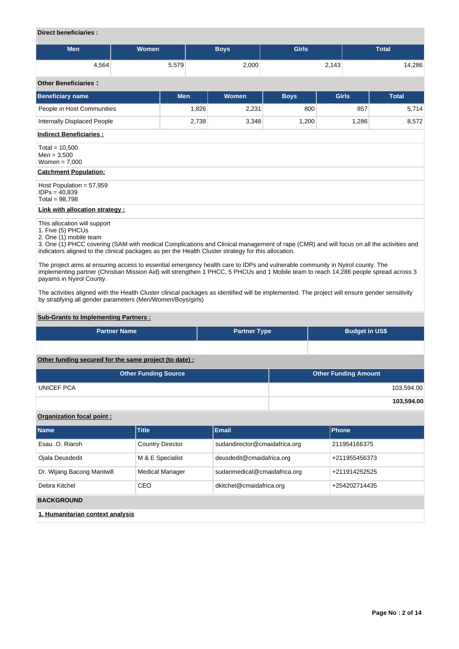## **Direct beneficiaries :**

| <b>Men</b> | Women | Boys  | <b>Girls</b> | <b>Total</b> |
|------------|-------|-------|--------------|--------------|
| 4,564      | 5,579 | 2,000 | 2,143        | 14,286       |

### **Other Beneficiaries :**

| <b>Other Beneficiaries:</b>                                                                                                                                                                                                                                                                                                   |            |       |             |              |              |
|-------------------------------------------------------------------------------------------------------------------------------------------------------------------------------------------------------------------------------------------------------------------------------------------------------------------------------|------------|-------|-------------|--------------|--------------|
| <b>Beneficiary name</b>                                                                                                                                                                                                                                                                                                       | <b>Men</b> | Women | <b>Boys</b> | <b>Girls</b> | <b>Total</b> |
| People in Host Communities                                                                                                                                                                                                                                                                                                    | 1,826      | 2,231 | 800         | 857          | 5,714        |
| Internally Displaced People                                                                                                                                                                                                                                                                                                   | 2,738      | 3,348 | 1,200       | 1,286        | 8,572        |
| <b>Indirect Beneficiaries:</b>                                                                                                                                                                                                                                                                                                |            |       |             |              |              |
| Total = $10,500$<br>$Men = 3,500$<br>Women $= 7,000$                                                                                                                                                                                                                                                                          |            |       |             |              |              |
| <b>Catchment Population:</b>                                                                                                                                                                                                                                                                                                  |            |       |             |              |              |
| Host Population = $57,959$<br>$IDPs = 40,839$<br>Total = $98,798$                                                                                                                                                                                                                                                             |            |       |             |              |              |
| <b>Link with allocation strategy:</b>                                                                                                                                                                                                                                                                                         |            |       |             |              |              |
| This allocation will support<br>1. Five (5) PHCUs<br>2. One (1) mobile team<br>3. One (1) PHCC covering (SAM with medical Complications and Clinical management of rape (CMR) and will focus on all the activities and<br>indicators aligned to the clinical packages as per the Health Cluster strategy for this allocation. |            |       |             |              |              |

The project aims at ensuring access to essential emergency health care to IDPs and vulnerable community in Nyirol county. The implementing partner (Christian Mission Aid) will strengthen 1 PHCC, 5 PHCUs and 1 Mobile team to reach 14,286 people spread across 3 payams in Nyirol County.

The activities aligned with the Health Cluster clinical packages as identified will be implemented. The project will ensure gender sensitivity by stratifying all gender parameters (Men/Women/Boys/girls)

# **Sub-Grants to Implementing Partners :**

| <b>Partner Name</b>                                   | <b>Partner Type</b> | <b>Budget in US\$</b>       |
|-------------------------------------------------------|---------------------|-----------------------------|
|                                                       |                     |                             |
| Other funding secured for the same project (to date): |                     |                             |
| <b>Other Funding Source</b>                           |                     | <b>Other Funding Amount</b> |

|                   | ______     |
|-------------------|------------|
| <b>UNICEF PCA</b> | 103,594.00 |
|                   | 103,594.00 |

# **Organization focal point :**

| <b>Name</b>                      | <b>Title</b>            | <b>Email</b>                  | Phone         |
|----------------------------------|-------------------------|-------------------------------|---------------|
| Esau .O. Riaroh                  | <b>Country Director</b> | sudandirector@cmaidafrica.org | 211954166375  |
| Ojala Deusdedit                  | M & E Specialist        | deusdedit@cmaidafrica.org     | +211955456373 |
| Dr. Wijang Bacong Mantwill       | <b>Medical Manager</b>  | sudanmedical@cmaidafrica.org  | +211914252525 |
| Debra Kitchel                    | CEO                     | dkitchel@cmaidafrica.org      | +254202714435 |
| <b>BACKGROUND</b>                |                         |                               |               |
| 1. Humanitarian context analysis |                         |                               |               |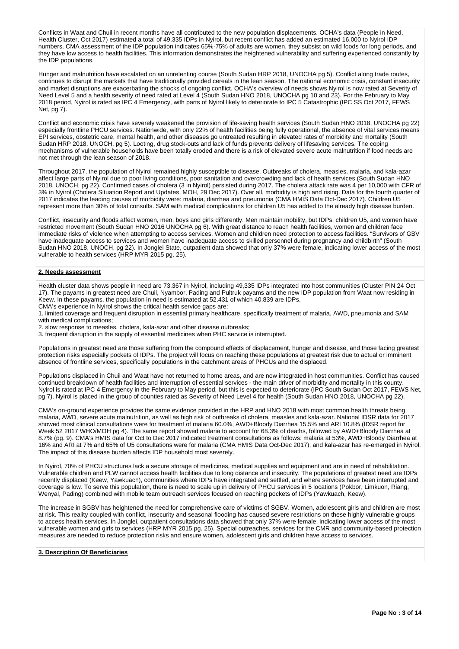Conflicts in Waat and Chuil in recent months have all contributed to the new population displacements. OCHA's data (People in Need, Health Cluster, Oct 2017) estimated a total of 49,335 IDPs in Nyirol, but recent conflict has added an estimated 16,000 to Nyirol IDP numbers. CMA assessment of the IDP population indicates 65%-75% of adults are women, they subsist on wild foods for long periods, and they have low access to health facilities. This information demonstrates the heightened vulnerability and suffering experienced constantly by the IDP populations.

Hunger and malnutrition have escalated on an unrelenting course (South Sudan HRP 2018, UNOCHA pg 5). Conflict along trade routes, continues to disrupt the markets that have traditionally provided cereals in the lean season. The national economic crisis, constant insecurity and market disruptions are exacerbating the shocks of ongoing conflict. OCHA's overview of needs shows Nyirol is now rated at Severity of Need Level 5 and a health severity of need rated at Level 4 (South Sudan HNO 2018, UNOCHA pg 10 and 23). For the February to May 2018 period, Nyirol is rated as IPC 4 Emergency, with parts of Nyirol likely to deteriorate to IPC 5 Catastrophic (IPC SS Oct 2017, FEWS Net, pg 7).

Conflict and economic crisis have severely weakened the provision of life-saving health services (South Sudan HNO 2018, UNOCHA pg 22) especially frontline PHCU services. Nationwide, with only 22% of health facilities being fully operational, the absence of vital services means EPI services, obstetric care, mental health, and other diseases go untreated resulting in elevated rates of morbidity and mortality (South Sudan HRP 2018, UNOCH, pg 5). Looting, drug stock-outs and lack of funds prevents delivery of lifesaving services. The coping mechanisms of vulnerable households have been totally eroded and there is a risk of elevated severe acute malnutrition if food needs are not met through the lean season of 2018.

Throughout 2017, the population of Nyirol remained highly susceptible to disease. Outbreaks of cholera, measles, malaria, and kala-azar affect large parts of Nyirol due to poor living conditions, poor sanitation and overcrowding and lack of health services (South Sudan HNO 2018, UNOCH, pg 22). Confirmed cases of cholera (3 in Nyirol) persisted during 2017. The cholera attack rate was 4 per 10,000 with CFR of 3% in Nyirol (Cholera Situation Report and Updates, MOH, 29 Dec 2017). Over all, morbidity is high and rising. Data for the fourth quarter of 2017 indicates the leading causes of morbidity were: malaria, diarrhea and pneumonia (CMA HMIS Data Oct-Dec 2017). Children U5 represent more than 30% of total consults. SAM with medical complications for children U5 has added to the already high disease burden.

Conflict, insecurity and floods affect women, men, boys and girls differently. Men maintain mobility, but IDPs, children U5, and women have restricted movement (South Sudan HNO 2016 UNOCHA pg 6). With great distance to reach health facilities, women and children face immediate risks of violence when attempting to access services. Women and children need protection to access facilities. "Survivors of GBV have inadequate access to services and women have inadequate access to skilled personnel during pregnancy and childbirth" (South Sudan HNO 2018, UNOCH, pg 22). In Jonglei State, outpatient data showed that only 37% were female, indicating lower access of the most vulnerable to health services (HRP MYR 2015 pg. 25).

#### **2. Needs assessment**

Health cluster data shows people in need are 73,367 in Nyirol, including 49,335 IDPs integrated into host communities (Cluster PIN 24 Oct 17). The payams in greatest need are Chuil, Nyambor, Pading and Pultruk payams and the new IDP population from Waat now residing in Keew. In these payams, the population in need is estimated at 52,431 of which 40,839 are IDPs.

CMA's experience in Nyirol shows the critical health service gaps are: 1. limited coverage and frequent disruption in essential primary healthcare, specifically treatment of malaria, AWD, pneumonia and SAM

with medical complications;

2. slow response to measles, cholera, kala-azar and other disease outbreaks;

3. frequent disruption in the supply of essential medicines when PHC service is interrupted.

Populations in greatest need are those suffering from the compound effects of displacement, hunger and disease, and those facing greatest protection risks especially pockets of IDPs. The project will focus on reaching these populations at greatest risk due to actual or imminent absence of frontline services, specifically populations in the catchment areas of PHCUs and the displaced.

Populations displaced in Chuil and Waat have not returned to home areas, and are now integrated in host communities. Conflict has caused continued breakdown of health facilities and interruption of essential services - the main driver of morbidity and mortality in this county. Nyirol is rated at IPC 4 Emergency in the February to May period, but this is expected to deteriorate (IPC South Sudan Oct 2017, FEWS Net, pg 7). Nyirol is placed in the group of counties rated as Severity of Need Level 4 for health (South Sudan HNO 2018, UNOCHA pg 22).

CMA's on-ground experience provides the same evidence provided in the HRP and HNO 2018 with most common health threats being malaria, AWD, severe acute malnutrition, as well as high risk of outbreaks of cholera, measles and kala-azar. National IDSR data for 2017 showed most clinical consultations were for treatment of malaria 60.0%, AWD+Bloody Diarrhea 15.5% and ARI 10.8% (IDSR report for Week 52 2017 WHO/MOH pg 4). The same report showed malaria to account for 68.3% of deaths, followed by AWD+Bloody Diarrhea at 8.7% (pg. 9). CMA's HMIS data for Oct to Dec 2017 indicated treatment consultations as follows: malaria at 53%, AWD+Bloody Diarrhea at 16% and ARI at 7% and 65% of U5 consultations were for malaria (CMA HMIS Data Oct-Dec 2017), and kala-azar has re-emerged in Nyirol. The impact of this disease burden affects IDP household most severely.

In Nyirol, 70% of PHCU structures lack a secure storage of medicines, medical supplies and equipment and are in need of rehabilitation. Vulnerable children and PLW cannot access health facilities due to long distance and insecurity. The populations of greatest need are IDPs recently displaced (Keew, Yawkuach), communities where IDPs have integrated and settled, and where services have been interrupted and coverage is low. To serve this population, there is need to scale up in delivery of PHCU services in 5 locations (Pokbor, Limkuon, Riang, Wenyal, Pading) combined with mobile team outreach services focused on reaching pockets of IDPs (Yawkuach, Keew).

The increase in SGBV has heightened the need for comprehensive care of victims of SGBV. Women, adolescent girls and children are most at risk. This reality coupled with conflict, insecurity and seasonal flooding has caused severe restrictions on these highly vulnerable groups to access health services. In Jonglei, outpatient consultations data showed that only 37% were female, indicating lower access of the most vulnerable women and girls to services (HRP MYR 2015 pg. 25). Special outreaches, services for the CMR and community-based protection measures are needed to reduce protection risks and ensure women, adolescent girls and children have access to services.

## **3. Description Of Beneficiaries**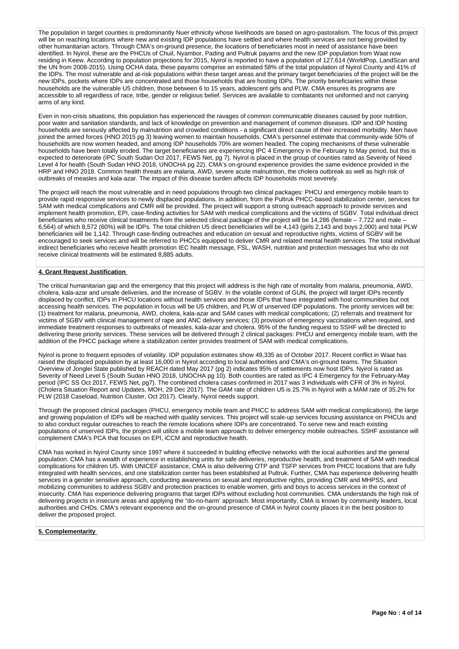The population in target counties is predominantly Nuer ethnicity whose livelihoods are based on agro-pastoralism. The focus of this project will be on reaching locations where new and existing IDP populations have settled and where health services are not being provided by other humanitarian actors. Through CMA's on-ground presence, the locations of beneficiaries most in need of assistance have been identified. In Nyirol, these are the PHCUs of Chuil, Nyambor, Pading and Pultruk payams and the new IDP population from Waat now residing in Keew. According to population projections for 2015, Nyirol is reported to have a population of 127,614 (WorldPop, LandScan and the UN from 2008-2015). Using OCHA data, these payams comprise an estimated 58% of the total population of Nyirol County and 41% of the IDPs. The most vulnerable and at-risk populations within these target areas and the primary target beneficiaries of the project will be the new IDPs, pockets where IDPs are concentrated and those households that are hosting IDPs. The priority beneficiaries within these households that are hosting IDPs. The priority beneficiaries within these households are the vulnerable U5 children, those between 6 to 15 years, adolescent girls and PLW. CMA ensures its programs are accessible to all regardless of race, tribe, gender or religious belief. Services are available to combatants not uniformed and not carrying arms of any kind.

Even in non-crisis situations, this population has experienced the ravages of common communicable diseases caused by poor nutrition, poor water and sanitation standards, and lack of knowledge on prevention and management of common diseases. IDP and IDP hosting households are seriously affected by malnutrition and crowded conditions - a significant direct cause of their increased morbidity. Men have joined the armed forces (HNO 2015 pg 3) leaving women to maintain households. CMA's personnel estimate that community-wide 50% of households are now women headed, and among IDP households 70% are women headed. The coping mechanisms of these vulnerable households have been totally eroded. The target beneficiaries are experiencing IPC 4 Emergency in the February to May period, but this is expected to deteriorate (IPC South Sudan Oct 2017, FEWS Net, pg 7). Nyirol is placed in the group of counties rated as Severity of Need Level 4 for health (South Sudan HNO 2018, UNOCHA pg 22). CMA's on-ground experience provides the same evidence provided in the HRP and HNO 2018. Common health threats are malaria, AWD, severe acute malnutrition, the cholera outbreak as well as high risk of outbreaks of measles and kala-azar. The impact of this disease burden affects IDP households most severely.

The project will reach the most vulnerable and in need populations through two clinical packages: PHCU and emergency mobile team to provide rapid responsive services to newly displaced populations. In addition, from the Pultruk PHCC-based stabilization center, services for SAM with medical complications and CMR will be provided. The project will support a strong outreach approach to provide services and implement health promotion, EPI, case-finding activities for SAM with medical complications and the victims of SGBV. Total individual direct beneficiaries who receive clinical treatments from the selected clinical package of the project will be 14,286 (female – 7,722 and male 6,564) of which 8,572 (60%) will be IDPs. The total children U5 direct beneficiaries will be 4,143 (girls 2,143 and boys 2,000) and total PLW beneficiaries will be 1,142. Through case-finding outreaches and education on sexual and reproductive rights, victims of SGBV will be encouraged to seek services and will be referred to PHCCs equipped to deliver CMR and related mental health services. The total individual indirect beneficiaries who receive health promotion IEC health message, FSL, WASH, nutrition and protection messages but who do not receive clinical treatments will be estimated 8,885 adults.

### **4. Grant Request Justification**

The critical humanitarian gap and the emergency that this project will address is the high rate of mortality from malaria, pneumonia, AWD, cholera, kala-azar and unsafe deliveries, and the increase of SGBV. In the volatile context of GUN, the project will target IDPs recently displaced by conflict, IDPs in PHCU locations without health services and those IDPs that have integrated with host communities but not accessing health services. The population in focus will be U5 children, and PLW of unserved IDP populations. The priority services will be: (1) treatment for malaria, pneumonia, AWD, cholera, kala-azar and SAM cases with medical complications; (2) referrals and treatment for victims of SGBV with clinical management of rape and ANC delivery services; (3) provision of emergency vaccinations when required, and immediate treatment responses to outbreaks of measles, kala-azar and cholera. 95% of the funding request to SSHF will be directed to delivering these priority services. These services will be delivered through 2 clinical packages: PHCU and emergency mobile team, with the addition of the PHCC package where a stabilization center provides treatment of SAM with medical complications.

Nyirol is prone to frequent episodes of volatility. IDP population estimates show 49,335 as of October 2017. Recent conflict in Waat has raised the displaced population by at least 16,000 in Nyirol according to local authorities and CMA's on-ground teams. The Situation Overview of Jonglei State published by REACH dated May 2017 (pg 2) indicates 95% of settlements now host IDPs. Nyirol is rated as Severity of Need Level 5 (South Sudan HNO 2018, UNOCHA pg 10). Both counties are rated as IPC 4 Emergency for the February-May period (IPC SS Oct 2017, FEWS Net, pg7). The combined cholera cases confirmed in 2017 was 3 individuals with CFR of 3% in Nyirol. (Cholera Situation Report and Updates, MOH, 29 Dec 2017). The GAM rate of children U5 is 25.7% in Nyirol with a MAM rate of 35.2% for PLW (2018 Caseload, Nutrition Cluster, Oct 2017). Clearly, Nyirol needs support.

Through the proposed clinical packages (PHCU, emergency mobile team and PHCC to address SAM with medical complications), the large and growing population of IDPs will be reached with quality services. This project will scale-up services focusing assistance on PHCUs and to also conduct regular outreaches to reach the remote locations where IDPs are concentrated. To serve new and reach existing populations of unserved IDPs, the project will utilize a mobile team approach to deliver emergency mobile outreaches. SSHF assistance will complement CMA's PCA that focuses on EPI, iCCM and reproductive health.

CMA has worked in Nyirol County since 1997 where it succeeded in building effective networks with the local authorities and the general population. CMA has a wealth of experience in establishing units for safe deliveries, reproductive health, and treatment of SAM with medical complications for children U5. With UNICEF assistance, CMA is also delivering OTP and TSFP services from PHCC locations that are fully integrated with health services, and one stabilization center has been established at Pultruk. Further, CMA has experience delivering health services in a gender sensitive approach, conducting awareness on sexual and reproductive rights, providing CMR and MHPSS, and mobilizing communities to address SGBV and protection practices to enable women, girls and boys to access services in the context of insecurity. CMA has experience delivering programs that target IDPs without excluding host communities. CMA understands the high risk of delivering projects in insecure areas and applying the "do-no-harm' approach. Most importantly, CMA is known by community leaders, local authorities and CHDs. CMA's relevant experience and the on-ground presence of CMA in Nyirol county places it in the best position to deliver the proposed project.

### **5. Complementarity**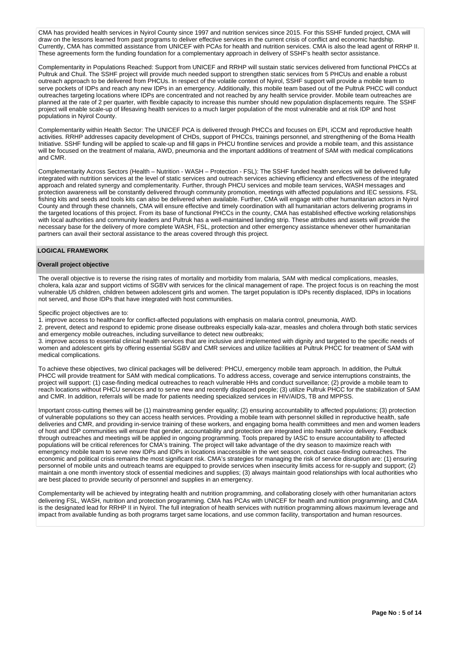CMA has provided health services in Nyirol County since 1997 and nutrition services since 2015. For this SSHF funded project, CMA will draw on the lessons learned from past programs to deliver effective services in the current crisis of conflict and economic hardship. Currently, CMA has committed assistance from UNICEF with PCAs for health and nutrition services. CMA is also the lead agent of RRHP II. These agreements form the funding foundation for a complementary approach in delivery of SSHF's health sector assistance.

Complementarity in Populations Reached: Support from UNICEF and RRHP will sustain static services delivered from functional PHCCs at Pultruk and Chuil. The SSHF project will provide much needed support to strengthen static services from 5 PHCUs and enable a robust outreach approach to be delivered from PHCUs. In respect of the volatile context of Nyirol, SSHF support will provide a mobile team to serve pockets of IDPs and reach any new IDPs in an emergency. Additionally, this mobile team based out of the Pultruk PHCC will conduct outreaches targeting locations where IDPs are concentrated and not reached by any health service provider. Mobile team outreaches are planned at the rate of 2 per quarter, with flexible capacity to increase this number should new population displacements require. The SSHF project will enable scale-up of lifesaving health services to a much larger population of the most vulnerable and at risk IDP and host populations in Nyirol County.

Complementarity within Health Sector: The UNICEF PCA is delivered through PHCCs and focuses on EPI, iCCM and reproductive health activities. RRHP addresses capacity development of CHDs, support of PHCCs, trainings personnel, and strengthening of the Boma Health Initiative. SSHF funding will be applied to scale-up and fill gaps in PHCU frontline services and provide a mobile team, and this assistance will be focused on the treatment of malaria, AWD, pneumonia and the important additions of treatment of SAM with medical complications and CMR.

Complementarity Across Sectors (Health – Nutrition - WASH – Protection - FSL): The SSHF funded health services will be delivered fully integrated with nutrition services at the level of static services and outreach services achieving efficiency and effectiveness of the integrated approach and related synergy and complementarity. Further, through PHCU services and mobile team services, WASH messages and protection awareness will be constantly delivered through community promotion, meetings with affected populations and IEC sessions. FSL fishing kits and seeds and tools kits can also be delivered when available. Further, CMA will engage with other humanitarian actors in Nyirol County and through these channels, CMA will ensure effective and timely coordination with all humanitarian actors delivering programs in the targeted locations of this project. From its base of functional PHCCs in the county, CMA has established effective working relationships with local authorities and community leaders and Pultruk has a well-maintained landing strip. These attributes and assets will provide the necessary base for the delivery of more complete WASH, FSL, protection and other emergency assistance whenever other humanitarian partners can avail their sectoral assistance to the areas covered through this project.

### **LOGICAL FRAMEWORK**

## **Overall project objective**

The overall objective is to reverse the rising rates of mortality and morbidity from malaria, SAM with medical complications, measles, cholera, kala azar and support victims of SGBV with services for the clinical management of rape. The project focus is on reaching the most vulnerable U5 children, children between adolescent girls and women. The target population is IDPs recently displaced, IDPs in locations not served, and those IDPs that have integrated with host communities.

Specific project objectives are to:

1. improve access to healthcare for conflict-affected populations with emphasis on malaria control, pneumonia, AWD.

2. prevent, detect and respond to epidemic prone disease outbreaks especially kala-azar, measles and cholera through both static services and emergency mobile outreaches, including surveillance to detect new outbreaks;

3. improve access to essential clinical health services that are inclusive and implemented with dignity and targeted to the specific needs of women and adolescent girls by offering essential SGBV and CMR services and utilize facilities at Pultruk PHCC for treatment of SAM with medical complications.

To achieve these objectives, two clinical packages will be delivered: PHCU, emergency mobile team approach. In addition, the Pultuk PHCC will provide treatment for SAM with medical complications. To address access, coverage and service interruptions constraints, the project will support: (1) case-finding medical outreaches to reach vulnerable HHs and conduct surveillance; (2) provide a mobile team to reach locations without PHCU services and to serve new and recently displaced people; (3) utilize Pultruk PHCC for the stabilization of SAM and CMR. In addition, referrals will be made for patients needing specialized services in HIV/AIDS, TB and MPPSS.

Important cross-cutting themes will be (1) mainstreaming gender equality; (2) ensuring accountability to affected populations; (3) protection of vulnerable populations so they can access health services. Providing a mobile team with personnel skilled in reproductive health, safe deliveries and CMR, and providing in-service training of these workers, and engaging boma health committees and men and women leaders of host and IDP communities will ensure that gender, accountability and protection are integrated into health service delivery. Feedback through outreaches and meetings will be applied in ongoing programming. Tools prepared by IASC to ensure accountability to affected populations will be critical references for CMA's training. The project will take advantage of the dry season to maximize reach with emergency mobile team to serve new IDPs and IDPs in locations inaccessible in the wet season, conduct case-finding outreaches. The economic and political crisis remains the most significant risk. CMA's strategies for managing the risk of service disruption are: (1) ensuring personnel of mobile units and outreach teams are equipped to provide services when insecurity limits access for re-supply and support; (2) maintain a one month inventory stock of essential medicines and supplies; (3) always maintain good relationships with local authorities who are best placed to provide security of personnel and supplies in an emergency.

Complementarity will be achieved by integrating health and nutrition programming, and collaborating closely with other humanitarian actors delivering FSL, WASH, nutrition and protection programming. CMA has PCAs with UNICEF for health and nutrition programming, and CMA is the designated lead for RRHP II in Nyirol. The full integration of health services with nutrition programming allows maximum leverage and impact from available funding as both programs target same locations, and use common facility, transportation and human resources.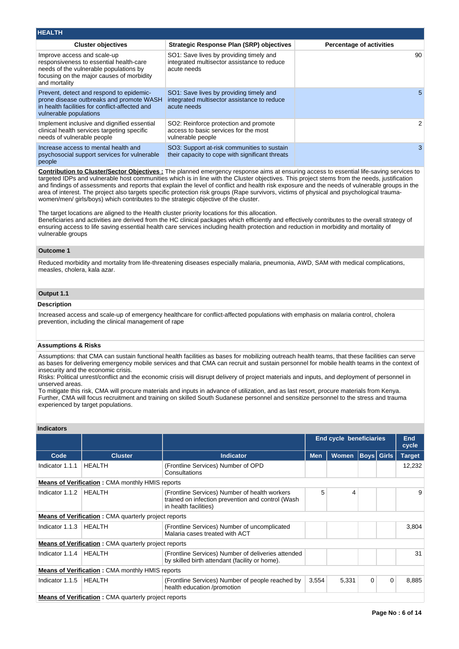| <b>HEALTH</b>                                                                                                                                                                  |                                                                                                       |                                 |
|--------------------------------------------------------------------------------------------------------------------------------------------------------------------------------|-------------------------------------------------------------------------------------------------------|---------------------------------|
| <b>Cluster objectives</b>                                                                                                                                                      | <b>Strategic Response Plan (SRP) objectives</b>                                                       | <b>Percentage of activities</b> |
| Improve access and scale-up<br>responsiveness to essential health-care<br>needs of the vulnerable populations by<br>focusing on the major causes of morbidity<br>and mortality | SO1: Save lives by providing timely and<br>integrated multisector assistance to reduce<br>acute needs | 90                              |
| Prevent, detect and respond to epidemic-<br>prone disease outbreaks and promote WASH<br>in health facilities for conflict-affected and<br>vulnerable populations               | SO1: Save lives by providing timely and<br>integrated multisector assistance to reduce<br>acute needs | 5.                              |
| Implement inclusive and dignified essential<br>clinical health services targeting specific<br>needs of vulnerable people                                                       | SO2: Reinforce protection and promote<br>access to basic services for the most<br>vulnerable people   | 2                               |
| Increase access to mental health and<br>psychosocial support services for vulnerable<br>people                                                                                 | SO3: Support at-risk communities to sustain<br>their capacity to cope with significant threats        |                                 |

**Contribution to Cluster/Sector Objectives :** The planned emergency response aims at ensuring access to essential life-saving services to targeted IDPs and vulnerable host communities which is in line with the Cluster objectives. This project stems from the needs, justification and findings of assessments and reports that explain the level of conflict and health risk exposure and the needs of vulnerable groups in the area of interest. The project also targets specific protection risk groups (Rape survivors, victims of physical and psychological traumawomen/men/ girls/boys) which contributes to the strategic objective of the cluster.

The target locations are aligned to the Health cluster priority locations for this allocation. Beneficiaries and activities are derived from the HC clinical packages which efficiently and effectively contributes to the overall strategy of ensuring access to life saving essential health care services including health protection and reduction in morbidity and mortality of vulnerable groups

### **Outcome 1**

Reduced morbidity and mortality from life-threatening diseases especially malaria, pneumonia, AWD, SAM with medical complications, measles, cholera, kala azar.

# **Output 1.1**

### **Description**

Increased access and scale-up of emergency healthcare for conflict-affected populations with emphasis on malaria control, cholera prevention, including the clinical management of rape

### **Assumptions & Risks**

Assumptions: that CMA can sustain functional health facilities as bases for mobilizing outreach health teams, that these facilities can serve as bases for delivering emergency mobile services and that CMA can recruit and sustain personnel for mobile health teams in the context of insecurity and the economic crisis.

Risks: Political unrest/conflict and the economic crisis will disrupt delivery of project materials and inputs, and deployment of personnel in unserved areas.

To mitigate this risk, CMA will procure materials and inputs in advance of utilization, and as last resort, procure materials from Kenya. Further, CMA will focus recruitment and training on skilled South Sudanese personnel and sensitize personnel to the stress and trauma experienced by target populations.

# **Indicators**

|                 |                                                             |                                                                                                                             | <b>End cycle beneficiaries</b> | <b>End</b><br>cycle |   |                   |               |
|-----------------|-------------------------------------------------------------|-----------------------------------------------------------------------------------------------------------------------------|--------------------------------|---------------------|---|-------------------|---------------|
| Code            | <b>Cluster</b>                                              | <b>Indicator</b>                                                                                                            | <b>Men</b>                     | <b>Women</b>        |   | <b>Boys Girls</b> | <b>Target</b> |
| Indicator 1.1.1 | <b>HEALTH</b>                                               | (Frontline Services) Number of OPD<br>Consultations                                                                         |                                |                     |   |                   | 12,232        |
|                 | <b>Means of Verification: CMA monthly HMIS reports</b>      |                                                                                                                             |                                |                     |   |                   |               |
| Indicator 1.1.2 | <b>HEALTH</b>                                               | (Frontline Services) Number of health workers<br>trained on infection prevention and control (Wash<br>in health facilities) | 5                              | 4                   |   |                   | 9             |
|                 | <b>Means of Verification:</b> CMA quarterly project reports |                                                                                                                             |                                |                     |   |                   |               |
| Indicator 1.1.3 | <b>HEALTH</b>                                               | (Frontline Services) Number of uncomplicated<br>Malaria cases treated with ACT                                              |                                |                     |   |                   | 3,804         |
|                 | <b>Means of Verification:</b> CMA quarterly project reports |                                                                                                                             |                                |                     |   |                   |               |
| Indicator 1.1.4 | HEALTH                                                      | (Frontline Services) Number of deliveries attended<br>by skilled birth attendant (facility or home).                        |                                |                     |   |                   | 31            |
|                 | <b>Means of Verification: CMA monthly HMIS reports</b>      |                                                                                                                             |                                |                     |   |                   |               |
| Indicator 1.1.5 | <b>HEALTH</b>                                               | (Frontline Services) Number of people reached by<br>health education /promotion                                             | 3,554                          | 5,331               | 0 | $\mathbf 0$       | 8,885         |
|                 |                                                             |                                                                                                                             |                                |                     |   |                   |               |

**Means of Verification**: CMA quarterly project reports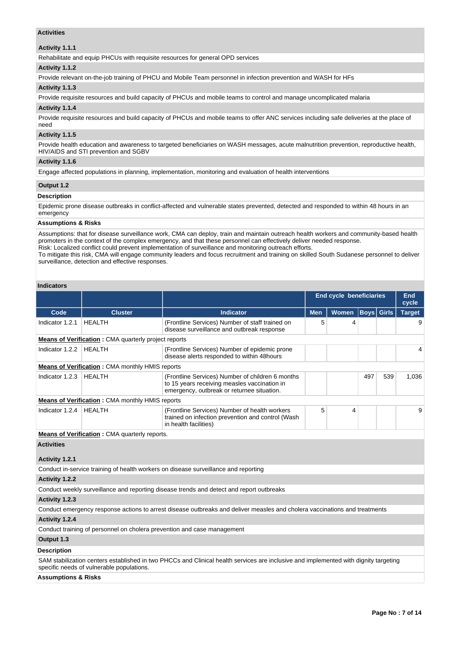# **Activities**

# **Activity 1.1.1**

Rehabilitate and equip PHCUs with requisite resources for general OPD services

# **Activity 1.1.2**

Provide relevant on-the-job training of PHCU and Mobile Team personnel in infection prevention and WASH for HFs

#### **Activity 1.1.3**

Provide requisite resources and build capacity of PHCUs and mobile teams to control and manage uncomplicated malaria

### **Activity 1.1.4**

Provide requisite resources and build capacity of PHCUs and mobile teams to offer ANC services including safe deliveries at the place of need

### **Activity 1.1.5**

Provide health education and awareness to targeted beneficiaries on WASH messages, acute malnutrition prevention, reproductive health, HIV/AIDS and STI prevention and SGBV

## **Activity 1.1.6**

Engage affected populations in planning, implementation, monitoring and evaluation of health interventions

#### **Output 1.2**

#### **Description**

Epidemic prone disease outbreaks in conflict-affected and vulnerable states prevented, detected and responded to within 48 hours in an emergency

### **Assumptions & Risks**

Assumptions: that for disease surveillance work, CMA can deploy, train and maintain outreach health workers and community-based health promoters in the context of the complex emergency, and that these personnel can effectively deliver needed response. Risk: Localized conflict could prevent implementation of surveillance and monitoring outreach efforts.

To mitigate this risk, CMA will engage community leaders and focus recruitment and training on skilled South Sudanese personnel to deliver surveillance, detection and effective responses.

### **Indicators**

|                                |                                                             |                                                                                                                                                | <b>End cycle beneficiaries</b> | End<br>cycle |                   |     |               |
|--------------------------------|-------------------------------------------------------------|------------------------------------------------------------------------------------------------------------------------------------------------|--------------------------------|--------------|-------------------|-----|---------------|
| Code                           | <b>Cluster</b>                                              | <b>Indicator</b>                                                                                                                               | <b>Men</b>                     | Women        | <b>Boys Girls</b> |     | <b>Target</b> |
| Indicator 1.2.1                | <b>HEALTH</b>                                               | (Frontline Services) Number of staff trained on<br>disease surveillance and outbreak response                                                  | 5                              | 4            |                   |     | 9             |
|                                | <b>Means of Verification:</b> CMA quarterly project reports |                                                                                                                                                |                                |              |                   |     |               |
| Indicator 1.2.2                | <b>HEALTH</b>                                               | (Frontline Services) Number of epidemic prone<br>disease alerts responded to within 48hours                                                    |                                |              |                   |     | 4             |
|                                | Means of Verification: CMA monthly HMIS reports             |                                                                                                                                                |                                |              |                   |     |               |
| Indicator 1.2.3                | <b>HEALTH</b>                                               | (Frontline Services) Number of children 6 months<br>to 15 years receiving measles vaccination in<br>emergency, outbreak or returnee situation. |                                |              | 497               | 539 | 1,036         |
|                                | <b>Means of Verification:</b> CMA monthly HMIS reports      |                                                                                                                                                |                                |              |                   |     |               |
| Indicator 1.2.4                | <b>HEALTH</b>                                               | (Frontline Services) Number of health workers<br>trained on infection prevention and control (Wash<br>in health facilities)                    | 5                              | 4            |                   |     | 9             |
|                                | <b>Means of Verification:</b> CMA quarterly reports.        |                                                                                                                                                |                                |              |                   |     |               |
| <b>Activities</b>              |                                                             |                                                                                                                                                |                                |              |                   |     |               |
| Activity 1.2.1                 |                                                             |                                                                                                                                                |                                |              |                   |     |               |
|                                |                                                             | Conduct in-service training of health workers on disease surveillance and reporting                                                            |                                |              |                   |     |               |
| Activity 1.2.2                 |                                                             |                                                                                                                                                |                                |              |                   |     |               |
|                                |                                                             | Conduct weekly surveillance and reporting disease trends and detect and report outbreaks                                                       |                                |              |                   |     |               |
| Activity 1.2.3                 |                                                             |                                                                                                                                                |                                |              |                   |     |               |
|                                |                                                             | Conduct emergency response actions to arrest disease outbreaks and deliver measles and cholera vaccinations and treatments                     |                                |              |                   |     |               |
| Activity 1.2.4                 |                                                             |                                                                                                                                                |                                |              |                   |     |               |
|                                |                                                             | Conduct training of personnel on cholera prevention and case management                                                                        |                                |              |                   |     |               |
| Output 1.3                     |                                                             |                                                                                                                                                |                                |              |                   |     |               |
| <b>Description</b>             |                                                             |                                                                                                                                                |                                |              |                   |     |               |
|                                | specific needs of vulnerable populations.                   | SAM stabilization centers established in two PHCCs and Clinical health services are inclusive and implemented with dignity targeting           |                                |              |                   |     |               |
| <b>Assumptions &amp; Risks</b> |                                                             |                                                                                                                                                |                                |              |                   |     |               |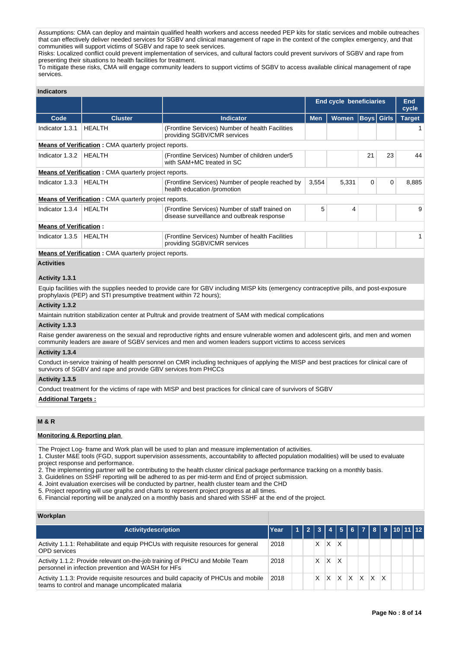Assumptions: CMA can deploy and maintain qualified health workers and access needed PEP kits for static services and mobile outreaches that can effectively deliver needed services for SGBV and clinical management of rape in the context of the complex emergency, and that communities will support victims of SGBV and rape to seek services.

Risks: Localized conflict could prevent implementation of services, and cultural factors could prevent survivors of SGBV and rape from presenting their situations to health facilities for treatment.

To mitigate these risks, CMA will engage community leaders to support victims of SGBV to access available clinical management of rape services.

## **Indicators**

|                               |                                                              |                                                                                               |            | <b>End cycle beneficiaries</b> |             |             |               |  |
|-------------------------------|--------------------------------------------------------------|-----------------------------------------------------------------------------------------------|------------|--------------------------------|-------------|-------------|---------------|--|
| Code                          | <b>Cluster</b>                                               | <b>Indicator</b>                                                                              | <b>Men</b> | Women                          |             | Boys  Girls | <b>Target</b> |  |
| Indicator 1.3.1               | <b>HEALTH</b>                                                | (Frontline Services) Number of health Facilities<br>providing SGBV/CMR services               |            |                                |             |             |               |  |
|                               | <b>Means of Verification:</b> CMA quarterly project reports. |                                                                                               |            |                                |             |             |               |  |
| Indicator 1.3.2               | HEALTH                                                       | (Frontline Services) Number of children under 5<br>with SAM+MC treated in SC                  |            |                                | 21          | 23          | 44            |  |
|                               | <b>Means of Verification:</b> CMA quarterly project reports. |                                                                                               |            |                                |             |             |               |  |
| Indicator 1.3.3               | HEALTH                                                       | (Frontline Services) Number of people reached by<br>health education /promotion               | 3.554      | 5,331                          | $\mathbf 0$ | 0           | 8,885         |  |
|                               | <b>Means of Verification:</b> CMA quarterly project reports. |                                                                                               |            |                                |             |             |               |  |
| Indicator 1.3.4               | HEALTH                                                       | (Frontline Services) Number of staff trained on<br>disease surveillance and outbreak response | 5          | 4                              |             |             | 9             |  |
| <b>Means of Verification:</b> |                                                              |                                                                                               |            |                                |             |             |               |  |
| Indicator 1.3.5               | HEALTH                                                       | (Frontline Services) Number of health Facilities<br>providing SGBV/CMR services               |            |                                |             |             |               |  |

**Means of Verification :** CMA quarterly project reports.

# **Activities**

#### **Activity 1.3.1**

Equip facilities with the supplies needed to provide care for GBV including MISP kits (emergency contraceptive pills, and post-exposure prophylaxis (PEP) and STI presumptive treatment within 72 hours);

#### **Activity 1.3.2**

Maintain nutrition stabilization center at Pultruk and provide treatment of SAM with medical complications

### **Activity 1.3.3**

Raise gender awareness on the sexual and reproductive rights and ensure vulnerable women and adolescent girls, and men and women community leaders are aware of SGBV services and men and women leaders support victims to access services

### **Activity 1.3.4**

Conduct in-service training of health personnel on CMR including techniques of applying the MISP and best practices for clinical care of survivors of SGBV and rape and provide GBV services from PHCCs

#### **Activity 1.3.5**

Conduct treatment for the victims of rape with MISP and best practices for clinical care of survivors of SGBV

#### **Additional Targets :**

## **M & R**

# **Monitoring & Reporting plan**

The Project Log- frame and Work plan will be used to plan and measure implementation of activities.

1. Cluster M&E tools (FGD, support supervision assessments, accountability to affected population modalities) will be used to evaluate project response and performance.

2. The implementing partner will be contributing to the health cluster clinical package performance tracking on a monthly basis.

3. Guidelines on SSHF reporting will be adhered to as per mid-term and End of project submission.

4. Joint evaluation exercises will be conducted by partner, health cluster team and the CHD

5. Project reporting will use graphs and charts to represent project progress at all times.

6. Financial reporting will be analyzed on a monthly basis and shared with SSHF at the end of the project.

#### **Workplan**

| Activitydescription                                                                                                                     | Year |  |   |   | 2   3   4   5   6   7   8   9  10  11  12 |    |   |   |  |  |
|-----------------------------------------------------------------------------------------------------------------------------------------|------|--|---|---|-------------------------------------------|----|---|---|--|--|
| Activity 1.1.1: Rehabilitate and equip PHCUs with requisite resources for general<br>OPD services                                       | 2018 |  | х |   |                                           |    |   |   |  |  |
| Activity 1.1.2: Provide relevant on-the-job training of PHCU and Mobile Team<br>personnel in infection prevention and WASH for HFs      | 2018 |  | х |   |                                           |    |   |   |  |  |
| Activity 1.1.3: Provide requisite resources and build capacity of PHCUs and mobile<br>teams to control and manage uncomplicated malaria | 2018 |  |   | X | X                                         | X. | X | x |  |  |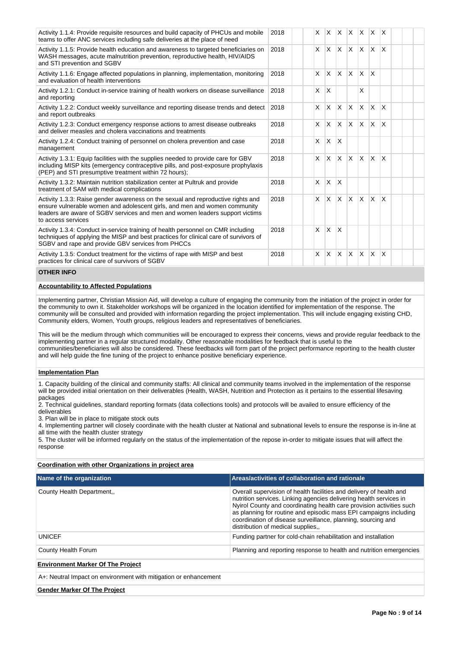| Activity 1.1.4: Provide requisite resources and build capacity of PHCUs and mobile<br>teams to offer ANC services including safe deliveries at the place of need                                                                                                    | 2018 | $\times$ | X            | <b>X</b>                |              | $X$ $X$ $X$  |          | ΙX.          |  |  |
|---------------------------------------------------------------------------------------------------------------------------------------------------------------------------------------------------------------------------------------------------------------------|------|----------|--------------|-------------------------|--------------|--------------|----------|--------------|--|--|
| Activity 1.1.5: Provide health education and awareness to targeted beneficiaries on<br>WASH messages, acute malnutrition prevention, reproductive health, HIV/AIDS<br>and STI prevention and SGBV                                                                   | 2018 | X        | $\times$     | X.                      |              | $X$ $X$ $X$  |          | ΙX.          |  |  |
| Activity 1.1.6: Engage affected populations in planning, implementation, monitoring<br>and evaluation of health interventions                                                                                                                                       | 2018 | X        | X            | $\overline{\mathsf{x}}$ | $\times$     | IX.          | $\times$ |              |  |  |
| Activity 1.2.1: Conduct in-service training of health workers on disease surveillance<br>and reporting                                                                                                                                                              | 2018 | $\times$ | X            |                         |              | X            |          |              |  |  |
| Activity 1.2.2: Conduct weekly surveillance and reporting disease trends and detect<br>and report outbreaks                                                                                                                                                         | 2018 | X        | X            | X                       | <sup>X</sup> | ΙX.          | X.       | $\mathsf{x}$ |  |  |
| Activity 1.2.3: Conduct emergency response actions to arrest disease outbreaks<br>and deliver measles and cholera vaccinations and treatments                                                                                                                       | 2018 | X        | X            | $\mathsf{x}$            | $\mathsf{x}$ | <b>X</b>     | $\times$ | $\mathsf{x}$ |  |  |
| Activity 1.2.4: Conduct training of personnel on cholera prevention and case<br>management                                                                                                                                                                          | 2018 | X        | X            | X                       |              |              |          |              |  |  |
| Activity 1.3.1: Equip facilities with the supplies needed to provide care for GBV<br>including MISP kits (emergency contraceptive pills, and post-exposure prophylaxis<br>(PEP) and STI presumptive treatment within 72 hours);                                     | 2018 | $\times$ | $\times$     | <b>X</b>                | $\mathsf{X}$ | $\mathsf{X}$ | <b>X</b> | ΙX.          |  |  |
| Activity 1.3.2: Maintain nutrition stabilization center at Pultruk and provide<br>treatment of SAM with medical complications                                                                                                                                       | 2018 | X        | $\times$     | X                       |              |              |          |              |  |  |
| Activity 1.3.3: Raise gender awareness on the sexual and reproductive rights and<br>ensure vulnerable women and adolescent girls, and men and women community<br>leaders are aware of SGBV services and men and women leaders support victims<br>to access services | 2018 | $\times$ | $\times$     | <b>X</b>                | $\times$     | $\mathsf{X}$ | $\times$ | $\mathsf{x}$ |  |  |
| Activity 1.3.4: Conduct in-service training of health personnel on CMR including<br>techniques of applying the MISP and best practices for clinical care of survivors of<br>SGBV and rape and provide GBV services from PHCCs                                       | 2018 | X        | $\mathsf{x}$ | $\overline{\mathsf{x}}$ |              |              |          |              |  |  |
| Activity 1.3.5: Conduct treatment for the victims of rape with MISP and best<br>practices for clinical care of survivors of SGBV                                                                                                                                    | 2018 | X        | X            | <b>X</b>                | $\times$     | IX.          | $\times$ | <sup>X</sup> |  |  |

## **OTHER INFO**

## **Accountability to Affected Populations**

Implementing partner, Christian Mission Aid, will develop a culture of engaging the community from the initiation of the project in order for the community to own it. Stakeholder workshops will be organized in the location identified for implementation of the response. The community will be consulted and provided with information regarding the project implementation. This will include engaging existing CHD, Community elders, Women, Youth groups, religious leaders and representatives of beneficiaries.

This will be the medium through which communities will be encouraged to express their concerns, views and provide regular feedback to the implementing partner in a regular structured modality. Other reasonable modalities for feedback that is useful to the communities/beneficiaries will also be considered. These feedbacks will form part of the project performance reporting to the health cluster and will help guide the fine tuning of the project to enhance positive beneficiary experience.

#### **Implementation Plan**

1. Capacity building of the clinical and community staffs: All clinical and community teams involved in the implementation of the response will be provided initial orientation on their deliverables (Health, WASH, Nutrition and Protection as it pertains to the essential lifesaving packages

2. Technical guidelines, standard reporting formats (data collections tools) and protocols will be availed to ensure efficiency of the deliverables

3. Plan will be in place to mitigate stock outs

4. Implementing partner will closely coordinate with the health cluster at National and subnational levels to ensure the response is in-line at all time with the health cluster strategy

5. The cluster will be informed regularly on the status of the implementation of the repose in-order to mitigate issues that will affect the response

#### **Coordination with other Organizations in project area**

| Name of the organization                                         | Areas/activities of collaboration and rationale                                                                                                                                                                                                                                                                                                                                            |  |  |  |  |  |  |  |
|------------------------------------------------------------------|--------------------------------------------------------------------------------------------------------------------------------------------------------------------------------------------------------------------------------------------------------------------------------------------------------------------------------------------------------------------------------------------|--|--|--|--|--|--|--|
| County Health Department                                         | Overall supervision of health facilities and delivery of health and<br>nutrition services. Linking agencies delivering health services in<br>Nyirol County and coordinating health care provision activities such<br>as planning for routine and episodic mass EPI campaigns including<br>coordination of disease surveillance, planning, sourcing and<br>distribution of medical supplies |  |  |  |  |  |  |  |
| <b>UNICEF</b>                                                    | Funding partner for cold-chain rehabilitation and installation                                                                                                                                                                                                                                                                                                                             |  |  |  |  |  |  |  |
| County Health Forum                                              | Planning and reporting response to health and nutrition emergencies                                                                                                                                                                                                                                                                                                                        |  |  |  |  |  |  |  |
| <b>Environment Marker Of The Project</b>                         |                                                                                                                                                                                                                                                                                                                                                                                            |  |  |  |  |  |  |  |
| A+: Neutral Impact on environment with mitigation or enhancement |                                                                                                                                                                                                                                                                                                                                                                                            |  |  |  |  |  |  |  |

**Gender Marker Of The Project**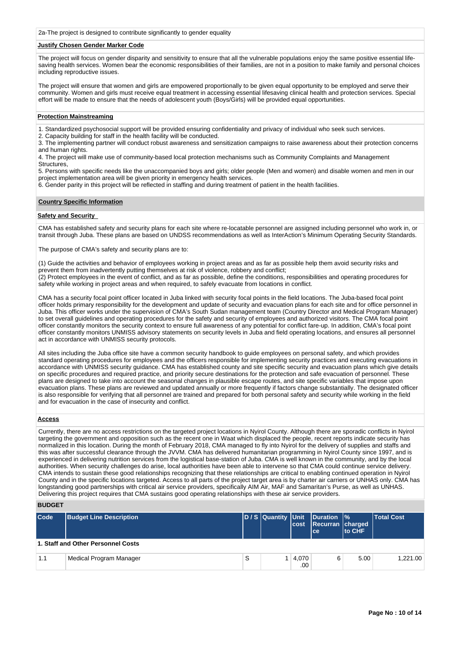2a-The project is designed to contribute significantly to gender equality

# **Justify Chosen Gender Marker Code**

The project will focus on gender disparity and sensitivity to ensure that all the vulnerable populations enjoy the same positive essential lifesaving health services. Women bear the economic responsibilities of their families, are not in a position to make family and personal choices including reproductive issues.

The project will ensure that women and girls are empowered proportionally to be given equal opportunity to be employed and serve their community. Women and girls must receive equal treatment in accessing essential lifesaving clinical health and protection services. Special effort will be made to ensure that the needs of adolescent youth (Boys/Girls) will be provided equal opportunities.

## **Protection Mainstreaming**

1. Standardized psychosocial support will be provided ensuring confidentiality and privacy of individual who seek such services.

2. Capacity building for staff in the health facility will be conducted.

3. The implementing partner will conduct robust awareness and sensitization campaigns to raise awareness about their protection concerns and human rights.

4. The project will make use of community-based local protection mechanisms such as Community Complaints and Management Structures,

5. Persons with specific needs like the unaccompanied boys and girls; older people (Men and women) and disable women and men in our project implementation area will be given priority in emergency health services.

6. Gender parity in this project will be reflected in staffing and during treatment of patient in the health facilities.

### **Country Specific Information**

# **Safety and Security**

CMA has established safety and security plans for each site where re-locatable personnel are assigned including personnel who work in, or transit through Juba. These plans are based on UNDSS recommendations as well as InterAction's Minimum Operating Security Standards.

The purpose of CMA's safety and security plans are to:

(1) Guide the activities and behavior of employees working in project areas and as far as possible help them avoid security risks and prevent them from inadvertently putting themselves at risk of violence, robbery and conflict;

(2) Protect employees in the event of conflict, and as far as possible, define the conditions, responsibilities and operating procedures for safety while working in project areas and when required, to safely evacuate from locations in conflict.

CMA has a security focal point officer located in Juba linked with security focal points in the field locations. The Juba-based focal point officer holds primary responsibility for the development and update of security and evacuation plans for each site and for office personnel in Juba. This officer works under the supervision of CMA's South Sudan management team (Country Director and Medical Program Manager) to set overall guidelines and operating procedures for the safety and security of employees and authorized visitors. The CMA focal point officer constantly monitors the security context to ensure full awareness of any potential for conflict fare-up. In addition, CMA's focal point officer constantly monitors UNMISS advisory statements on security levels in Juba and field operating locations, and ensures all personnel act in accordance with UNMISS security protocols.

All sites including the Juba office site have a common security handbook to guide employees on personal safety, and which provides standard operating procedures for employees and the officers responsible for implementing security practices and executing evacuations in accordance with UNMISS security guidance. CMA has established county and site specific security and evacuation plans which give details on specific procedures and required practice, and priority secure destinations for the protection and safe evacuation of personnel. These plans are designed to take into account the seasonal changes in plausible escape routes, and site specific variables that impose upon evacuation plans. These plans are reviewed and updated annually or more frequently if factors change substantially. The designated officer is also responsible for verifying that all personnel are trained and prepared for both personal safety and security while working in the field and for evacuation in the case of insecurity and conflict.

### **Access**

Currently, there are no access restrictions on the targeted project locations in Nyirol County. Although there are sporadic conflicts in Nyirol targeting the government and opposition such as the recent one in Waat which displaced the people, recent reports indicate security has normalized in this location. During the month of February 2018, CMA managed to fly into Nyirol for the delivery of supplies and staffs and this was after successful clearance through the JVVM. CMA has delivered humanitarian programming in Nyirol County since 1997, and is experienced in delivering nutrition services from the logistical base-station of Juba. CMA is well known in the community, and by the local authorities. When security challenges do arise, local authorities have been able to intervene so that CMA could continue service delivery. CMA intends to sustain these good relationships recognizing that these relationships are critical to enabling continued operation in Nyirol County and in the specific locations targeted. Access to all parts of the project target area is by charter air carriers or UNHAS only. CMA has longstanding good partnerships with critical air service providers, specifically AIM Air, MAF and Samaritan's Purse, as well as UNHAS. Delivering this project requires that CMA sustains good operating relationships with these air service providers.

## **BUDGET**

| <b>Code</b> | <b>Budget Line Description</b>     |   | cost             | D / S Quantity Unit Duration %<br>Recurran charged<br>lce: | to CHF | <b>Total Cost</b> |
|-------------|------------------------------------|---|------------------|------------------------------------------------------------|--------|-------------------|
|             | 1. Staff and Other Personnel Costs |   |                  |                                                            |        |                   |
| 1.1         | Medical Program Manager            | S | 4,070<br>$.00\%$ | 6                                                          | 5.00   | 1.221.00          |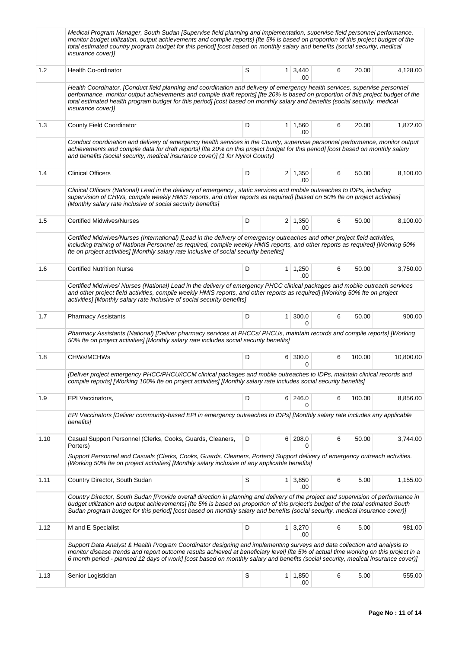|      | Medical Program Manager, South Sudan [Supervise field planning and implementation, supervise field personnel performance,<br>monitor budget utilization, output achievements and compile reports] [fte 5% is based on proportion of this project budget of the<br>total estimated country program budget for this period] [cost based on monthly salary and benefits (social security, medical<br><i>insurance cover)]</i>  |   |                |                       |   |        |           |
|------|-----------------------------------------------------------------------------------------------------------------------------------------------------------------------------------------------------------------------------------------------------------------------------------------------------------------------------------------------------------------------------------------------------------------------------|---|----------------|-----------------------|---|--------|-----------|
| 1.2  | <b>Health Co-ordinator</b>                                                                                                                                                                                                                                                                                                                                                                                                  | S |                | $1 \mid 3,440$<br>.00 | 6 | 20.00  | 4,128.00  |
|      | Health Coordinator, [Conduct field planning and coordination and delivery of emergency health services, supervise personnel<br>performance, monitor output achievements and compile draft reports] [fte 20% is based on proportion of this project budget of the<br>total estimated health program budget for this period] [cost based on monthly salary and benefits (social security, medical<br><i>insurance cover)]</i> |   |                |                       |   |        |           |
| 1.3  | <b>County Field Coordinator</b>                                                                                                                                                                                                                                                                                                                                                                                             | D |                | $1 \mid 1,560$<br>.00 | 6 | 20.00  | 1,872.00  |
|      | Conduct coordination and delivery of emergency health services in the County, supervise personnel performance, monitor output<br>achievements and compile data for draft reports] [fte 20% on this project budget for this period] [cost based on monthly salary<br>and benefits (social security, medical insurance cover)] (1 for Nyirol County)                                                                          |   |                |                       |   |        |           |
| 1.4  | <b>Clinical Officers</b>                                                                                                                                                                                                                                                                                                                                                                                                    | D |                | $2 \mid 1,350$<br>.00 | 6 | 50.00  | 8,100.00  |
|      | Clinical Officers (National) Lead in the delivery of emergency, static services and mobile outreaches to IDPs, including<br>supervision of CHWs, compile weekly HMIS reports, and other reports as required] [based on 50% fte on project activities]<br>[Monthly salary rate inclusive of social security benefits]                                                                                                        |   |                |                       |   |        |           |
| 1.5  | <b>Certified Midwives/Nurses</b>                                                                                                                                                                                                                                                                                                                                                                                            | D |                | $2 \mid 1,350$<br>.00 | 6 | 50.00  | 8,100.00  |
|      | Certified Midwives/Nurses (International) [Lead in the delivery of emergency outreaches and other project field activities,<br>including training of National Personnel as required, compile weekly HMIS reports, and other reports as required] [Working 50%<br>fte on project activities] [Monthly salary rate inclusive of social security benefits]                                                                     |   |                |                       |   |        |           |
| 1.6  | <b>Certified Nutrition Nurse</b>                                                                                                                                                                                                                                                                                                                                                                                            | D |                | $1 \mid 1,250$<br>.00 | 6 | 50.00  | 3,750.00  |
|      | Certified Midwives/Nurses (National) Lead in the delivery of emergency PHCC clinical packages and mobile outreach services<br>and other project field activities, compile weekly HMIS reports, and other reports as required] [Working 50% fte on project<br>activities] [Monthly salary rate inclusive of social security benefits]                                                                                        |   |                |                       |   |        |           |
| 1.7  | <b>Pharmacy Assistants</b>                                                                                                                                                                                                                                                                                                                                                                                                  | D | 1 <sup>1</sup> | 300.0<br>$\Omega$     | 6 | 50.00  | 900.00    |
|      | Pharmacy Assistants (National) [Deliver pharmacy services at PHCCs/PHCUs, maintain records and compile reports] [Working<br>50% fte on project activities] [Monthly salary rate includes social security benefits]                                                                                                                                                                                                          |   |                |                       |   |        |           |
| 1.8  | <b>CHWs/MCHWs</b>                                                                                                                                                                                                                                                                                                                                                                                                           | D |                | 6 300.0<br>0          | 6 | 100.00 | 10,800.00 |
|      | [Deliver project emergency PHCC/PHCU/iCCM clinical packages and mobile outreaches to IDPs, maintain clinical records and<br>compile reports] [Working 100% fte on project activities] [Monthly salary rate includes social security benefits]                                                                                                                                                                               |   |                |                       |   |        |           |
| 1.9  | EPI Vaccinators,                                                                                                                                                                                                                                                                                                                                                                                                            | D |                | 6 246.0<br>0          | 6 | 100.00 | 8,856.00  |
|      | EPI Vaccinators [Deliver community-based EPI in emergency outreaches to IDPs] [Monthly salary rate includes any applicable<br>benefits]                                                                                                                                                                                                                                                                                     |   |                |                       |   |        |           |
| 1.10 | Casual Support Personnel (Clerks, Cooks, Guards, Cleaners,<br>Porters)                                                                                                                                                                                                                                                                                                                                                      | D |                | 6 208.0               | 6 | 50.00  | 3,744.00  |
|      | Support Personnel and Casuals (Clerks, Cooks, Guards, Cleaners, Porters) Support delivery of emergency outreach activities.<br>[Working 50% fte on project activities] [Monthly salary inclusive of any applicable benefits]                                                                                                                                                                                                |   |                |                       |   |        |           |
| 1.11 | Country Director, South Sudan                                                                                                                                                                                                                                                                                                                                                                                               | S |                | $1 \mid 3,850$<br>.00 | 6 | 5.00   | 1,155.00  |
|      | Country Director, South Sudan [Provide overall direction in planning and delivery of the project and supervision of performance in<br>budget utilization and output achievements] [fte 5% is based on proportion of this project's budget of the total estimated South<br>Sudan program budget for this period] [cost based on monthly salary and benefits (social security, medical insurance cover)]                      |   |                |                       |   |        |           |
| 1.12 | M and E Specialist                                                                                                                                                                                                                                                                                                                                                                                                          | D |                | $1 \mid 3,270$<br>.00 | 6 | 5.00   | 981.00    |
|      | Support Data Analyst & Health Program Coordinator designing and implementing surveys and data collection and analysis to<br>monitor disease trends and report outcome results achieved at beneficiary level] [fte 5% of actual time working on this project in a<br>6 month period - planned 12 days of work] [cost based on monthly salary and benefits (social security, medical insurance cover)]                        |   |                |                       |   |        |           |
| 1.13 | Senior Logistician                                                                                                                                                                                                                                                                                                                                                                                                          | S |                | $1 \mid 1,850$<br>.00 | 6 | 5.00   | 555.00    |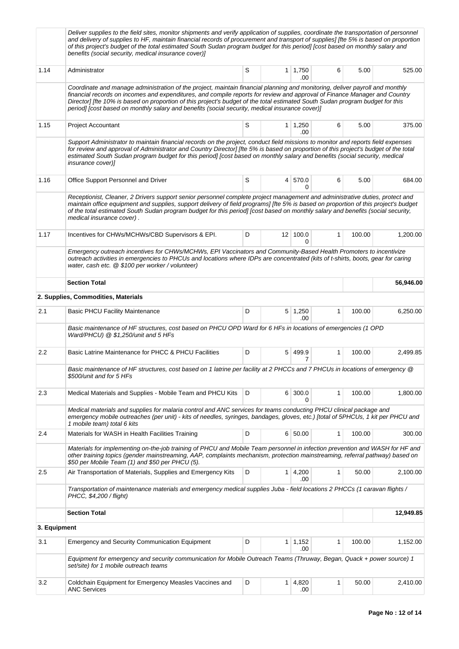|              | Deliver supplies to the field sites, monitor shipments and verify application of supplies, coordinate the transportation of personnel<br>and delivery of supplies to HF, maintain financial records of procurement and transport of supplies] [fte 5% is based on proportion<br>of this project's budget of the total estimated South Sudan program budget for this period] [cost based on monthly salary and<br>benefits (social security, medical insurance cover)]                        |   |              |                       |              |        |           |
|--------------|----------------------------------------------------------------------------------------------------------------------------------------------------------------------------------------------------------------------------------------------------------------------------------------------------------------------------------------------------------------------------------------------------------------------------------------------------------------------------------------------|---|--------------|-----------------------|--------------|--------|-----------|
| 1.14         | Administrator                                                                                                                                                                                                                                                                                                                                                                                                                                                                                | S |              | $1 \mid 1,750$<br>.00 | 6            | 5.00   | 525.00    |
|              | Coordinate and manage administration of the project, maintain financial planning and monitoring, deliver payroll and monthly<br>financial records on incomes and expenditures, and compile reports for review and approval of Finance Manager and Country<br>Director] [fte 10% is based on proportion of this project's budget of the total estimated South Sudan program budget for this<br>period] [cost based on monthly salary and benefits (social security, medical insurance cover)] |   |              |                       |              |        |           |
| 1.15         | Project Accountant                                                                                                                                                                                                                                                                                                                                                                                                                                                                           | S |              | $1 \mid 1,250$<br>.00 | 6            | 5.00   | 375.00    |
|              | Support Administrator to maintain financial records on the project, conduct field missions to monitor and reports field expenses<br>for review and approval of Administrator and Country Director] [fte 5% is based on proportion of this project's budget of the total<br>estimated South Sudan program budget for this period] [cost based on monthly salary and benefits (social security, medical<br><i>insurance cover)]</i>                                                            |   |              |                       |              |        |           |
| 1.16         | Office Support Personnel and Driver                                                                                                                                                                                                                                                                                                                                                                                                                                                          | S |              | 4 570.0<br>0          | 6            | 5.00   | 684.00    |
|              | Receptionist, Cleaner, 2 Drivers support senior personnel complete project management and administrative duties, protect and<br>maintain office equipment and supplies, support delivery of field programs] [fte 5% is based on proportion of this project's budget<br>of the total estimated South Sudan program budget for this period] [cost based on monthly salary and benefits (social security,<br>medical insurance cover).                                                          |   |              |                       |              |        |           |
| 1.17         | Incentives for CHWs/MCHWs/CBD Supervisors & EPI.                                                                                                                                                                                                                                                                                                                                                                                                                                             | D |              | $12$ 100.0<br>0       | 1            | 100.00 | 1.200.00  |
|              | Emergency outreach incentives for CHWs/MCHWs, EPI Vaccinators and Community-Based Health Promoters to incentivize<br>outreach activities in emergencies to PHCUs and locations where IDPs are concentrated (kits of t-shirts, boots, gear for caring<br>water, cash etc. @ \$100 per worker / volunteer)                                                                                                                                                                                     |   |              |                       |              |        |           |
|              | <b>Section Total</b>                                                                                                                                                                                                                                                                                                                                                                                                                                                                         |   |              |                       |              |        | 56,946.00 |
|              | 2. Supplies, Commodities, Materials                                                                                                                                                                                                                                                                                                                                                                                                                                                          |   |              |                       |              |        |           |
| 2.1          | <b>Basic PHCU Facility Maintenance</b>                                                                                                                                                                                                                                                                                                                                                                                                                                                       | D |              | $5 \mid 1,250$<br>.00 | 1            | 100.00 | 6,250.00  |
|              | Basic maintenance of HF structures, cost based on PHCU OPD Ward for 6 HFs in locations of emergencies (1 OPD<br>Ward/PHCU) @ \$1,250/unit and 5 HFs                                                                                                                                                                                                                                                                                                                                          |   |              |                       |              |        |           |
| 2.2          | Basic Latrine Maintenance for PHCC & PHCU Facilities                                                                                                                                                                                                                                                                                                                                                                                                                                         | D | 5            | 499.9<br>7            | 1            | 100.00 | 2,499.85  |
|              | Basic maintenance of HF structures, cost based on 1 latrine per facility at 2 PHCCs and 7 PHCUs in locations of emergency @<br>\$500/unit and for 5 HFs                                                                                                                                                                                                                                                                                                                                      |   |              |                       |              |        |           |
| 2.3          | Medical Materials and Supplies - Mobile Team and PHCU Kits                                                                                                                                                                                                                                                                                                                                                                                                                                   | D | 6            | 300.0<br>0            | 1            | 100.00 | 1,800.00  |
|              | Medical materials and supplies for malaria control and ANC services for teams conducting PHCU clinical package and<br>emergency mobile outreaches (per unit) - kits of needles, syringes, bandages, gloves, etc.) [total of 5PHCUs, 1 kit per PHCU and<br>1 mobile team) total 6 kits                                                                                                                                                                                                        |   |              |                       |              |        |           |
| 2.4          | Materials for WASH in Health Facilities Training                                                                                                                                                                                                                                                                                                                                                                                                                                             | D |              | 6 50.00               | $\mathbf{1}$ | 100.00 | 300.00    |
|              | Materials for implementing on-the-job training of PHCU and Mobile Team personnel in infection prevention and WASH for HF and<br>other training topics (gender mainstreaming, AAP, complaints mechanism, protection mainstreaming, referral pathway) based on<br>\$50 per Mobile Team (1) and \$50 per PHCU (5).                                                                                                                                                                              |   |              |                       |              |        |           |
| 2.5          | Air Transportation of Materials, Supplies and Emergency Kits                                                                                                                                                                                                                                                                                                                                                                                                                                 | D | $\mathbf{1}$ | 4,200<br>.00          | 1            | 50.00  | 2,100.00  |
|              | Transportation of maintenance materials and emergency medical supplies Juba - field locations 2 PHCCs (1 caravan flights /<br>PHCC, \$4,200 / flight)                                                                                                                                                                                                                                                                                                                                        |   |              |                       |              |        |           |
|              | <b>Section Total</b>                                                                                                                                                                                                                                                                                                                                                                                                                                                                         |   |              |                       |              |        | 12,949.85 |
| 3. Equipment |                                                                                                                                                                                                                                                                                                                                                                                                                                                                                              |   |              |                       |              |        |           |
| 3.1          | <b>Emergency and Security Communication Equipment</b>                                                                                                                                                                                                                                                                                                                                                                                                                                        | D | 1            | 1,152<br>.00          | 1            | 100.00 | 1,152.00  |
|              | Equipment for emergency and security communication for Mobile Outreach Teams (Thruway, Began, Quack + power source) 1<br>set/site) for 1 mobile outreach teams                                                                                                                                                                                                                                                                                                                               |   |              |                       |              |        |           |
| 3.2          | Coldchain Equipment for Emergency Measles Vaccines and<br><b>ANC Services</b>                                                                                                                                                                                                                                                                                                                                                                                                                | D | $\mathbf{1}$ | 4,820<br>.00          | 1            | 50.00  | 2,410.00  |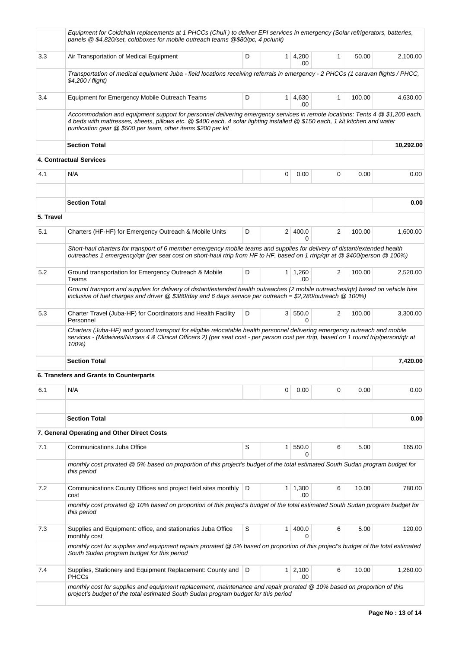|           | Equipment for Coldchain replacements at 1 PHCCs (Chuil) to deliver EPI services in emergency (Solar refrigerators, batteries,<br>panels @ \$4,820/set, coldboxes for mobile outreach teams @\$80/pc, 4 pc/unit)                                                                                                              |   |                |                        |              |        |           |
|-----------|------------------------------------------------------------------------------------------------------------------------------------------------------------------------------------------------------------------------------------------------------------------------------------------------------------------------------|---|----------------|------------------------|--------------|--------|-----------|
| 3.3       | Air Transportation of Medical Equipment                                                                                                                                                                                                                                                                                      | D |                | $1 \, 4,200$<br>.00    | $\mathbf{1}$ | 50.00  | 2,100.00  |
|           | Transportation of medical equipment Juba - field locations receiving referrals in emergency - 2 PHCCs (1 caravan flights / PHCC,<br>\$4,200 / flight)                                                                                                                                                                        |   |                |                        |              |        |           |
| 3.4       | Equipment for Emergency Mobile Outreach Teams                                                                                                                                                                                                                                                                                | D |                | $1 \quad 4,630$<br>.00 | 1            | 100.00 | 4,630.00  |
|           | Accommodation and equipment support for personnel delivering emergency services in remote locations: Tents 4 @ \$1,200 each,<br>4 beds with mattresses, sheets, pillows etc. @ \$400 each, 4 solar lighting installed @ \$150 each, 1 kit kitchen and water<br>purification gear @ \$500 per team, other items \$200 per kit |   |                |                        |              |        |           |
|           | <b>Section Total</b>                                                                                                                                                                                                                                                                                                         |   |                |                        |              |        | 10,292.00 |
|           | 4. Contractual Services                                                                                                                                                                                                                                                                                                      |   |                |                        |              |        |           |
| 4.1       | N/A                                                                                                                                                                                                                                                                                                                          |   | 0              | 0.00                   | 0            | 0.00   | 0.00      |
|           | <b>Section Total</b>                                                                                                                                                                                                                                                                                                         |   |                |                        |              |        | 0.00      |
| 5. Travel |                                                                                                                                                                                                                                                                                                                              |   |                |                        |              |        |           |
| 5.1       | Charters (HF-HF) for Emergency Outreach & Mobile Units                                                                                                                                                                                                                                                                       | D |                | 2 400.0<br>$\Omega$    | 2            | 100.00 | 1,600.00  |
|           | Short-haul charters for transport of 6 member emergency mobile teams and supplies for delivery of distant/extended health<br>outreaches 1 emergency/qtr (per seat cost on short-haul rtrip from HF to HF, based on 1 rtrip/qtr at @ \$400/person @ 100%)                                                                     |   |                |                        |              |        |           |
| 5.2       | Ground transportation for Emergency Outreach & Mobile<br>Teams                                                                                                                                                                                                                                                               | D |                | $1 \mid 1,260$<br>.00  | 2            | 100.00 | 2,520.00  |
|           | Ground transport and supplies for delivery of distant/extended health outreaches (2 mobile outreaches/qtr) based on vehicle hire<br>inclusive of fuel charges and driver $@$ \$380/day and 6 days service per outreach = \$2,280/outreach $@$ 100%)                                                                          |   |                |                        |              |        |           |
| 5.3       | Charter Travel (Juba-HF) for Coordinators and Health Facility<br>Personnel                                                                                                                                                                                                                                                   | D |                | 3   550.0<br>0         | 2            | 100.00 | 3,300.00  |
|           | Charters (Juba-HF) and ground transport for eligible relocatable health personnel delivering emergency outreach and mobile<br>services - (Midwives/Nurses 4 & Clinical Officers 2) (per seat cost - per person cost per rtrip, based on 1 round trip/person/qtr at<br>100%)                                                  |   |                |                        |              |        |           |
|           | <b>Section Total</b>                                                                                                                                                                                                                                                                                                         |   |                |                        |              |        | 7,420.00  |
|           | 6. Transfers and Grants to Counterparts                                                                                                                                                                                                                                                                                      |   |                |                        |              |        |           |
| 6.1       | N/A                                                                                                                                                                                                                                                                                                                          |   | 0              | 0.00                   | 0            | 0.00   | 0.00      |
|           | <b>Section Total</b>                                                                                                                                                                                                                                                                                                         |   |                |                        |              |        | 0.00      |
|           | 7. General Operating and Other Direct Costs                                                                                                                                                                                                                                                                                  |   |                |                        |              |        |           |
| 7.1       | Communications Juba Office                                                                                                                                                                                                                                                                                                   | S | 1              | 550.0<br><sup>0</sup>  | 6            | 5.00   | 165.00    |
|           | monthly cost prorated @ 5% based on proportion of this project's budget of the total estimated South Sudan program budget for<br>this period                                                                                                                                                                                 |   |                |                        |              |        |           |
| 7.2       | Communications County Offices and project field sites monthly<br>cost                                                                                                                                                                                                                                                        | D |                | $1 \mid 1,300$<br>.00  | 6            | 10.00  | 780.00    |
|           | monthly cost prorated @ 10% based on proportion of this project's budget of the total estimated South Sudan program budget for<br>this period                                                                                                                                                                                |   |                |                        |              |        |           |
| 7.3       | Supplies and Equipment: office, and stationaries Juba Office<br>monthly cost                                                                                                                                                                                                                                                 | S | 1              | 400.0<br><sup>0</sup>  | 6            | 5.00   | 120.00    |
|           | monthly cost for supplies and equipment repairs prorated @ 5% based on proportion of this project's budget of the total estimated<br>South Sudan program budget for this period                                                                                                                                              |   |                |                        |              |        |           |
| 7.4       | Supplies, Stationery and Equipment Replacement: County and<br><b>PHCCs</b>                                                                                                                                                                                                                                                   | D | 1 <sup>1</sup> | 2,100<br>.00           | 6            | 10.00  | 1,260.00  |
|           | monthly cost for supplies and equipment replacement, maintenance and repair prorated @ 10% based on proportion of this<br>project's budget of the total estimated South Sudan program budget for this period                                                                                                                 |   |                |                        |              |        |           |